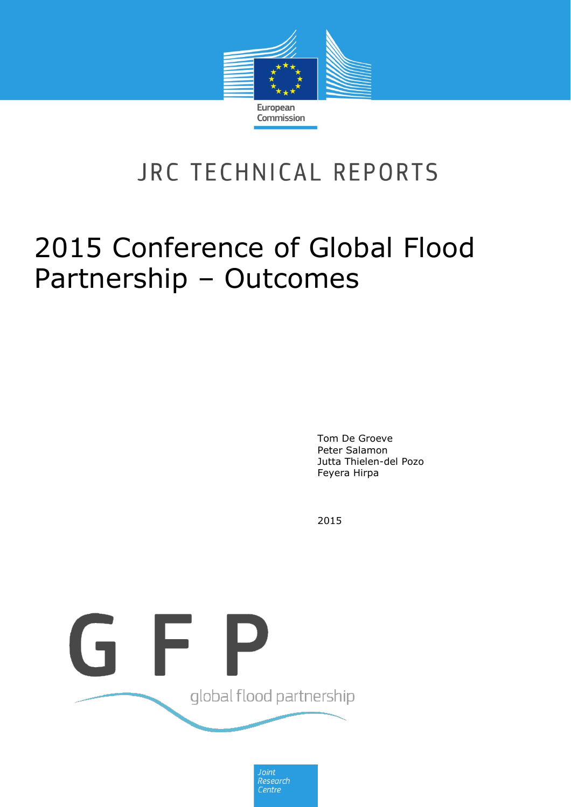

# JRC TECHNICAL REPORTS

# 2015 Conference of Global Flood Partnership – Outcomes

Tom De Groeve Peter Salamon Jutta Thielen-del Pozo Feyera Hirpa

2015



Joint Research<br>Centre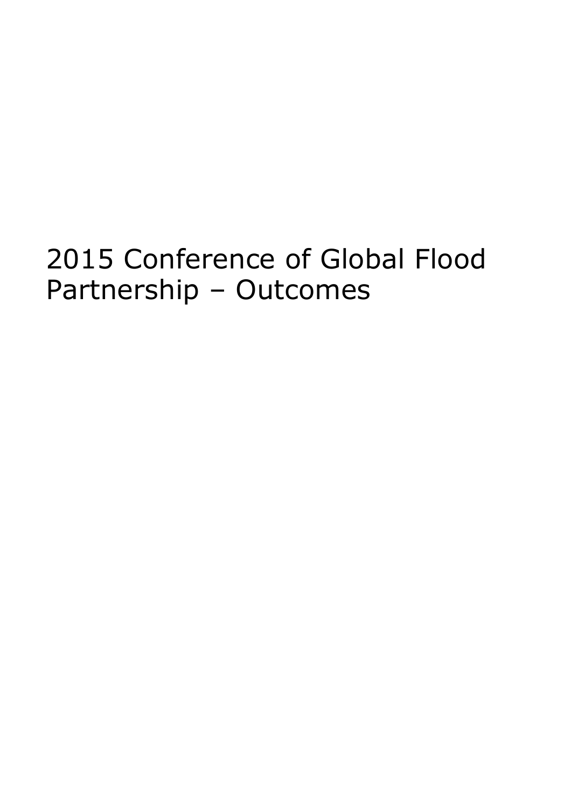# 2015 Conference of Global Flood Partnership – Outcomes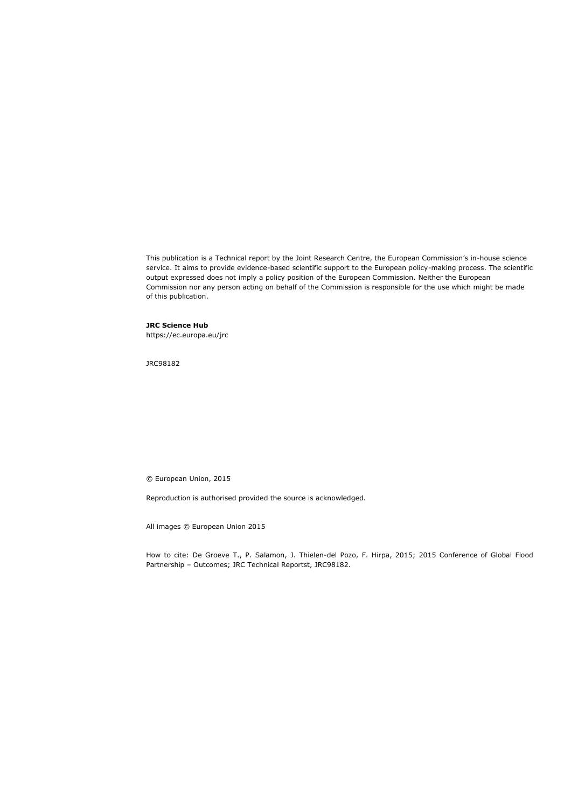This publication is a Technical report by the Joint Research Centre, the European Commission's in-house science service. It aims to provide evidence-based scientific support to the European policy-making process. The scientific output expressed does not imply a policy position of the European Commission. Neither the European Commission nor any person acting on behalf of the Commission is responsible for the use which might be made of this publication.

#### **JRC Science Hub**

https://ec.europa.eu/jrc

JRC98182

© European Union, 2015

Reproduction is authorised provided the source is acknowledged.

All images © European Union 2015

How to cite: De Groeve T., P. Salamon, J. Thielen-del Pozo, F. Hirpa, 2015; 2015 Conference of Global Flood Partnership – Outcomes; JRC Technical Reportst, JRC98182.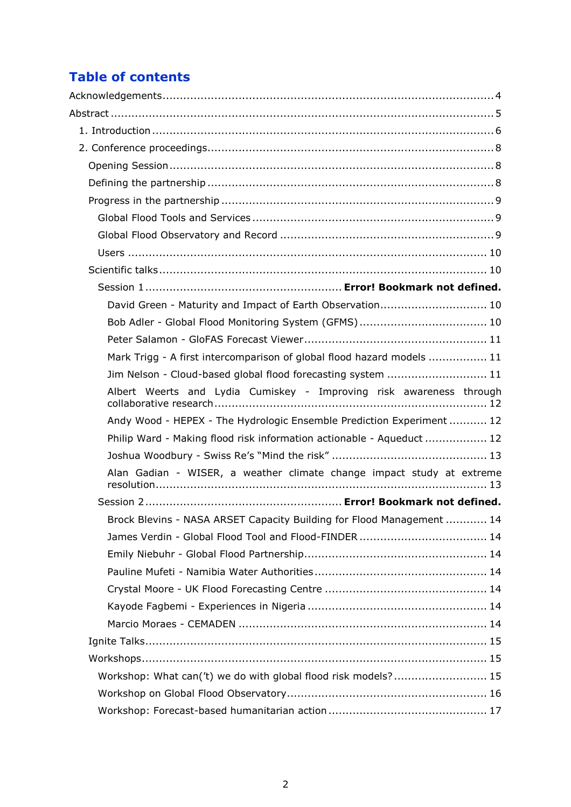# **Table of contents**

| David Green - Maturity and Impact of Earth Observation 10              |
|------------------------------------------------------------------------|
|                                                                        |
|                                                                        |
| Mark Trigg - A first intercomparison of global flood hazard models  11 |
| Jim Nelson - Cloud-based global flood forecasting system  11           |
| Albert Weerts and Lydia Cumiskey - Improving risk awareness through    |
| Andy Wood - HEPEX - The Hydrologic Ensemble Prediction Experiment  12  |
| Philip Ward - Making flood risk information actionable - Aqueduct  12  |
|                                                                        |
| Alan Gadian - WISER, a weather climate change impact study at extreme  |
|                                                                        |
| Brock Blevins - NASA ARSET Capacity Building for Flood Management  14  |
|                                                                        |
|                                                                        |
|                                                                        |
|                                                                        |
|                                                                        |
|                                                                        |
|                                                                        |
|                                                                        |
| Workshop: What can('t) we do with global flood risk models? 15         |
|                                                                        |
|                                                                        |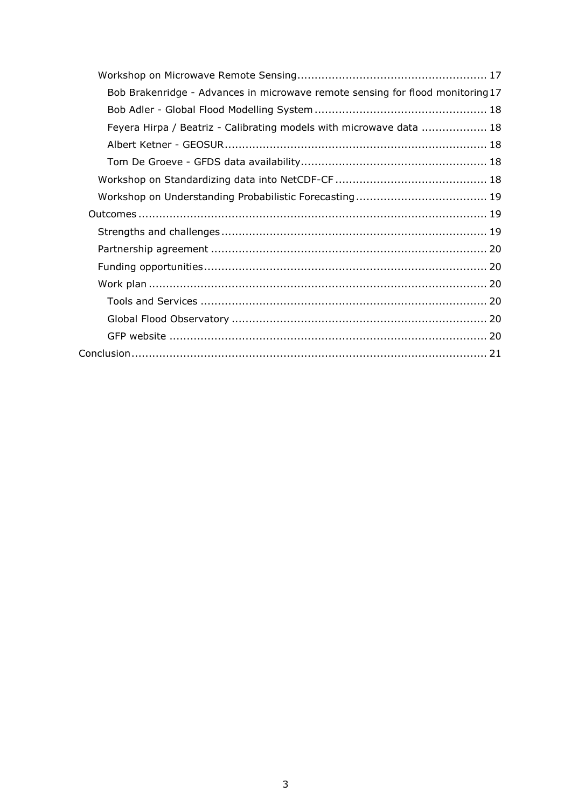| Bob Brakenridge - Advances in microwave remote sensing for flood monitoring 17 |  |
|--------------------------------------------------------------------------------|--|
|                                                                                |  |
| Feyera Hirpa / Beatriz - Calibrating models with microwave data  18            |  |
|                                                                                |  |
|                                                                                |  |
|                                                                                |  |
|                                                                                |  |
|                                                                                |  |
|                                                                                |  |
|                                                                                |  |
|                                                                                |  |
|                                                                                |  |
|                                                                                |  |
|                                                                                |  |
|                                                                                |  |
|                                                                                |  |
|                                                                                |  |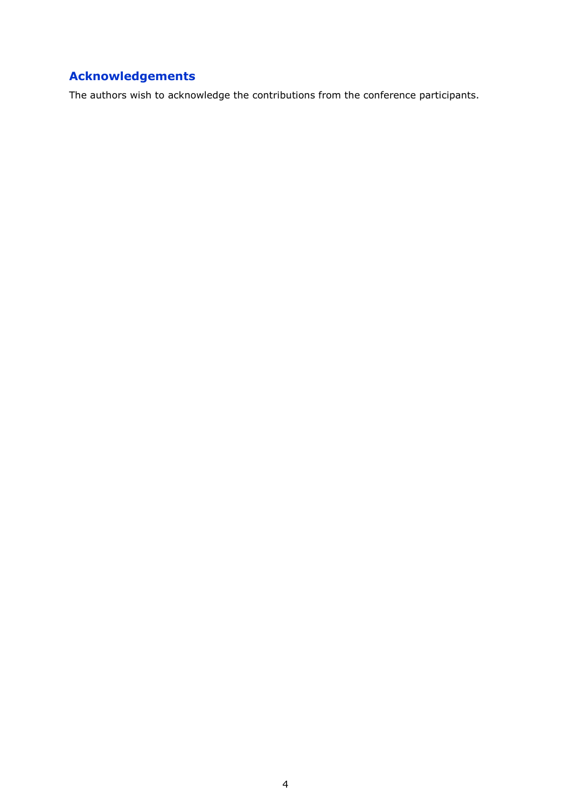# <span id="page-5-0"></span>**Acknowledgements**

The authors wish to acknowledge the contributions from the conference participants.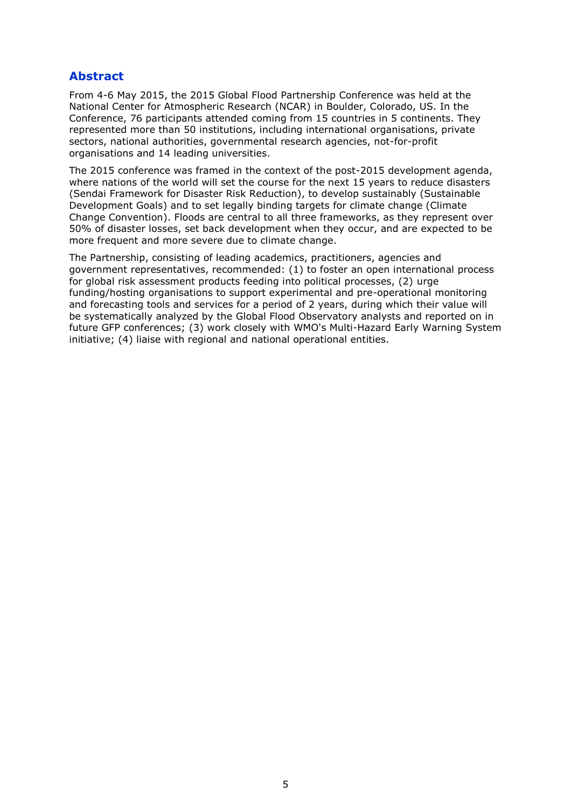# <span id="page-6-0"></span>**Abstract**

From 4-6 May 2015, the 2015 Global Flood Partnership Conference was held at the National Center for Atmospheric Research (NCAR) in Boulder, Colorado, US. In the Conference, 76 participants attended coming from 15 countries in 5 continents. They represented more than 50 institutions, including international organisations, private sectors, national authorities, governmental research agencies, not-for-profit organisations and 14 leading universities.

The 2015 conference was framed in the context of the post-2015 development agenda, where nations of the world will set the course for the next 15 years to reduce disasters (Sendai Framework for Disaster Risk Reduction), to develop sustainably (Sustainable Development Goals) and to set legally binding targets for climate change (Climate Change Convention). Floods are central to all three frameworks, as they represent over 50% of disaster losses, set back development when they occur, and are expected to be more frequent and more severe due to climate change.

The Partnership, consisting of leading academics, practitioners, agencies and government representatives, recommended: (1) to foster an open international process for global risk assessment products feeding into political processes, (2) urge funding/hosting organisations to support experimental and pre-operational monitoring and forecasting tools and services for a period of 2 years, during which their value will be systematically analyzed by the Global Flood Observatory analysts and reported on in future GFP conferences; (3) work closely with WMO's Multi-Hazard Early Warning System initiative; (4) liaise with regional and national operational entities.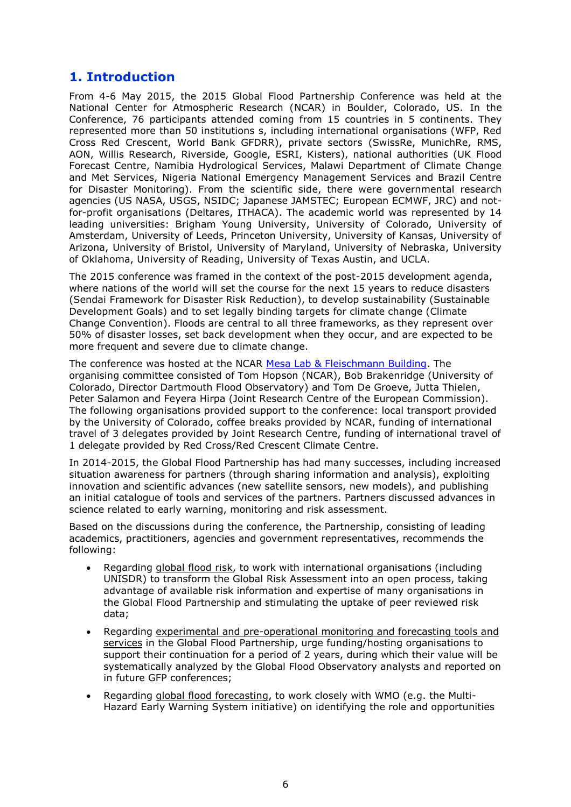# <span id="page-7-0"></span>**1. Introduction**

From 4-6 May 2015, the 2015 Global Flood Partnership Conference was held at the National Center for Atmospheric Research (NCAR) in Boulder, Colorado, US. In the Conference, 76 participants attended coming from 15 countries in 5 continents. They represented more than 50 institutions s, including international organisations (WFP, Red Cross Red Crescent, World Bank GFDRR), private sectors (SwissRe, MunichRe, RMS, AON, Willis Research, Riverside, Google, ESRI, Kisters), national authorities (UK Flood Forecast Centre, Namibia Hydrological Services, Malawi Department of Climate Change and Met Services, Nigeria National Emergency Management Services and Brazil Centre for Disaster Monitoring). From the scientific side, there were governmental research agencies (US NASA, USGS, NSIDC; Japanese JAMSTEC; European ECMWF, JRC) and notfor-profit organisations (Deltares, ITHACA). The academic world was represented by 14 leading universities: Brigham Young University, University of Colorado, University of Amsterdam, University of Leeds, Princeton University, University of Kansas, University of Arizona, University of Bristol, University of Maryland, University of Nebraska, University of Oklahoma, University of Reading, University of Texas Austin, and UCLA.

The 2015 conference was framed in the context of the post-2015 development agenda, where nations of the world will set the course for the next 15 years to reduce disasters (Sendai Framework for Disaster Risk Reduction), to develop sustainability (Sustainable Development Goals) and to set legally binding targets for climate change (Climate Change Convention). Floods are central to all three frameworks, as they represent over 50% of disaster losses, set back development when they occur, and are expected to be more frequent and severe due to climate change.

The conference was hosted at the NCAR [Mesa Lab & Fleischmann Building.](https://www2.ucar.edu/campus/mesa-laboratory) The organising committee consisted of Tom Hopson (NCAR), Bob Brakenridge (University of Colorado, Director Dartmouth Flood Observatory) and Tom De Groeve, Jutta Thielen, Peter Salamon and Feyera Hirpa (Joint Research Centre of the European Commission). The following organisations provided support to the conference: local transport provided by the University of Colorado, coffee breaks provided by NCAR, funding of international travel of 3 delegates provided by Joint Research Centre, funding of international travel of 1 delegate provided by Red Cross/Red Crescent Climate Centre.

In 2014-2015, the Global Flood Partnership has had many successes, including increased situation awareness for partners (through sharing information and analysis), exploiting innovation and scientific advances (new satellite sensors, new models), and publishing an initial catalogue of tools and services of the partners. Partners discussed advances in science related to early warning, monitoring and risk assessment.

Based on the discussions during the conference, the Partnership, consisting of leading academics, practitioners, agencies and government representatives, recommends the following:

- Regarding global flood risk, to work with international organisations (including UNISDR) to transform the Global Risk Assessment into an open process, taking advantage of available risk information and expertise of many organisations in the Global Flood Partnership and stimulating the uptake of peer reviewed risk data;
- Regarding experimental and pre-operational monitoring and forecasting tools and services in the Global Flood Partnership, urge funding/hosting organisations to support their continuation for a period of 2 years, during which their value will be systematically analyzed by the Global Flood Observatory analysts and reported on in future GFP conferences;
- Regarding global flood forecasting, to work closely with WMO (e.g. the Multi-Hazard Early Warning System initiative) on identifying the role and opportunities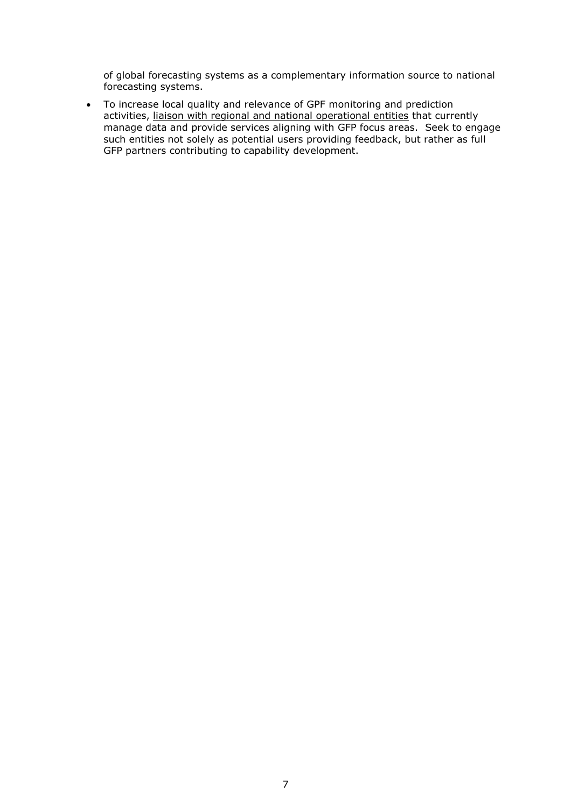of global forecasting systems as a complementary information source to national forecasting systems.

 To increase local quality and relevance of GPF monitoring and prediction activities, liaison with regional and national operational entities that currently manage data and provide services aligning with GFP focus areas. Seek to engage such entities not solely as potential users providing feedback, but rather as full GFP partners contributing to capability development.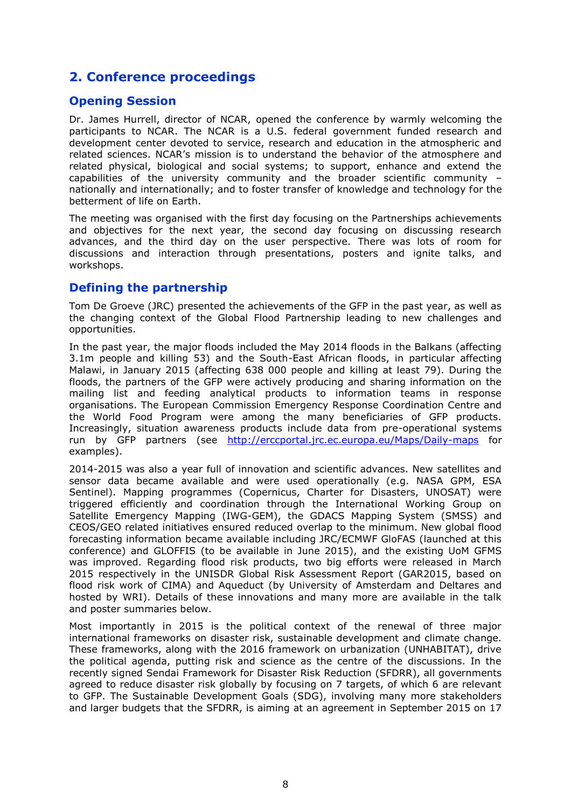# <span id="page-9-0"></span>**2. Conference proceedings**

## <span id="page-9-1"></span>**Opening Session**

Dr. James Hurrell, director of NCAR, opened the conference by warmly welcoming the participants to NCAR. The NCAR is a U.S. federal government funded research and development center devoted to service, research and education in the atmospheric and related sciences. NCAR's mission is to understand the behavior of the atmosphere and related physical, biological and social systems; to support, enhance and extend the capabilities of the university community and the broader scientific community – nationally and internationally; and to foster transfer of knowledge and technology for the betterment of life on Earth.

The meeting was organised with the first day focusing on the Partnerships achievements and objectives for the next year, the second day focusing on discussing research advances, and the third day on the user perspective. There was lots of room for discussions and interaction through presentations, posters and ignite talks, and workshops.

## <span id="page-9-2"></span>**Defining the partnership**

Tom De Groeve (JRC) presented the achievements of the GFP in the past year, as well as the changing context of the Global Flood Partnership leading to new challenges and opportunities.

In the past year, the major floods included the May 2014 floods in the Balkans (affecting 3.1m people and killing 53) and the South-East African floods, in particular affecting Malawi, in January 2015 (affecting 638 000 people and killing at least 79). During the floods, the partners of the GFP were actively producing and sharing information on the mailing list and feeding analytical products to information teams in response organisations. The European Commission Emergency Response Coordination Centre and the World Food Program were among the many beneficiaries of GFP products. Increasingly, situation awareness products include data from pre-operational systems run by GFP partners (see <http://erccportal.jrc.ec.europa.eu/Maps/Daily-maps> for examples).

2014-2015 was also a year full of innovation and scientific advances. New satellites and sensor data became available and were used operationally (e.g. NASA GPM, ESA Sentinel). Mapping programmes (Copernicus, Charter for Disasters, UNOSAT) were triggered efficiently and coordination through the International Working Group on Satellite Emergency Mapping (IWG-GEM), the GDACS Mapping System (SMSS) and CEOS/GEO related initiatives ensured reduced overlap to the minimum. New global flood forecasting information became available including JRC/ECMWF GloFAS (launched at this conference) and GLOFFIS (to be available in June 2015), and the existing UoM GFMS was improved. Regarding flood risk products, two big efforts were released in March 2015 respectively in the UNISDR Global Risk Assessment Report (GAR2015, based on flood risk work of CIMA) and Aqueduct (by University of Amsterdam and Deltares and hosted by WRI). Details of these innovations and many more are available in the talk and poster summaries below.

Most importantly in 2015 is the political context of the renewal of three major international frameworks on disaster risk, sustainable development and climate change. These frameworks, along with the 2016 framework on urbanization (UNHABITAT), drive the political agenda, putting risk and science as the centre of the discussions. In the recently signed Sendai Framework for Disaster Risk Reduction (SFDRR), all governments agreed to reduce disaster risk globally by focusing on 7 targets, of which 6 are relevant to GFP. The Sustainable Development Goals (SDG), involving many more stakeholders and larger budgets that the SFDRR, is aiming at an agreement in September 2015 on 17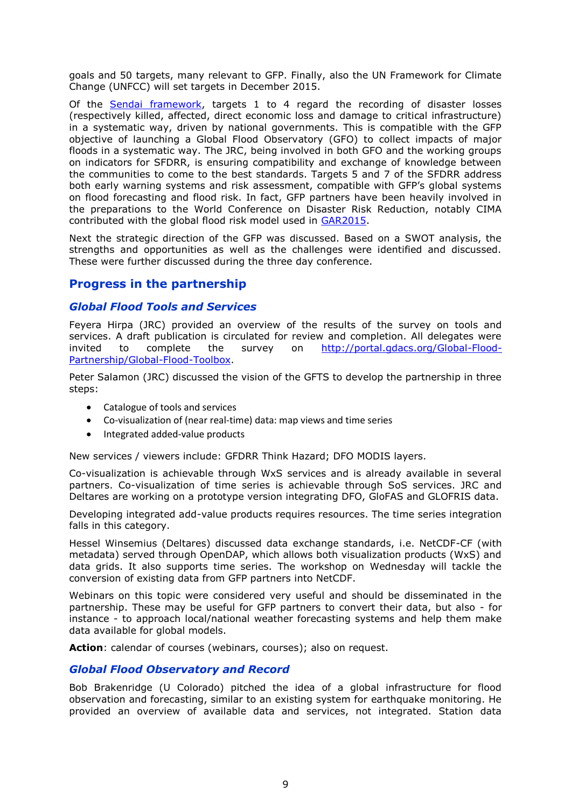goals and 50 targets, many relevant to GFP. Finally, also the UN Framework for Climate Change (UNFCC) will set targets in December 2015.

Of the [Sendai framework,](http://wcdrr.org/) targets 1 to 4 regard the recording of disaster losses (respectively killed, affected, direct economic loss and damage to critical infrastructure) in a systematic way, driven by national governments. This is compatible with the GFP objective of launching a Global Flood Observatory (GFO) to collect impacts of major floods in a systematic way. The JRC, being involved in both GFO and the working groups on indicators for SFDRR, is ensuring compatibility and exchange of knowledge between the communities to come to the best standards. Targets 5 and 7 of the SFDRR address both early warning systems and risk assessment, compatible with GFP's global systems on flood forecasting and flood risk. In fact, GFP partners have been heavily involved in the preparations to the World Conference on Disaster Risk Reduction, notably CIMA contributed with the global flood risk model used in [GAR2015.](http://www.preventionweb.net/english/hyogo/gar/)

Next the strategic direction of the GFP was discussed. Based on a SWOT analysis, the strengths and opportunities as well as the challenges were identified and discussed. These were further discussed during the three day conference.

## <span id="page-10-0"></span>**Progress in the partnership**

### <span id="page-10-1"></span>*Global Flood Tools and Services*

Feyera Hirpa (JRC) provided an overview of the results of the survey on tools and services. A draft publication is circulated for review and completion. All delegates were invited to complete the survey on [http://portal.gdacs.org/Global-Flood-](http://portal.gdacs.org/Global-Flood-Partnership/Global-Flood-Toolbox)[Partnership/Global-Flood-Toolbox.](http://portal.gdacs.org/Global-Flood-Partnership/Global-Flood-Toolbox)

Peter Salamon (JRC) discussed the vision of the GFTS to develop the partnership in three steps:

- Catalogue of tools and services
- Co-visualization of (near real-time) data: map views and time series
- Integrated added-value products

New services / viewers include: GFDRR Think Hazard; DFO MODIS layers.

Co-visualization is achievable through WxS services and is already available in several partners. Co-visualization of time series is achievable through SoS services. JRC and Deltares are working on a prototype version integrating DFO, GloFAS and GLOFRIS data.

Developing integrated add-value products requires resources. The time series integration falls in this category.

Hessel Winsemius (Deltares) discussed data exchange standards, i.e. NetCDF-CF (with metadata) served through OpenDAP, which allows both visualization products (WxS) and data grids. It also supports time series. The workshop on Wednesday will tackle the conversion of existing data from GFP partners into NetCDF.

Webinars on this topic were considered very useful and should be disseminated in the partnership. These may be useful for GFP partners to convert their data, but also - for instance - to approach local/national weather forecasting systems and help them make data available for global models.

Action: calendar of courses (webinars, courses); also on request.

#### <span id="page-10-2"></span>*Global Flood Observatory and Record*

Bob Brakenridge (U Colorado) pitched the idea of a global infrastructure for flood observation and forecasting, similar to an existing system for earthquake monitoring. He provided an overview of available data and services, not integrated. Station data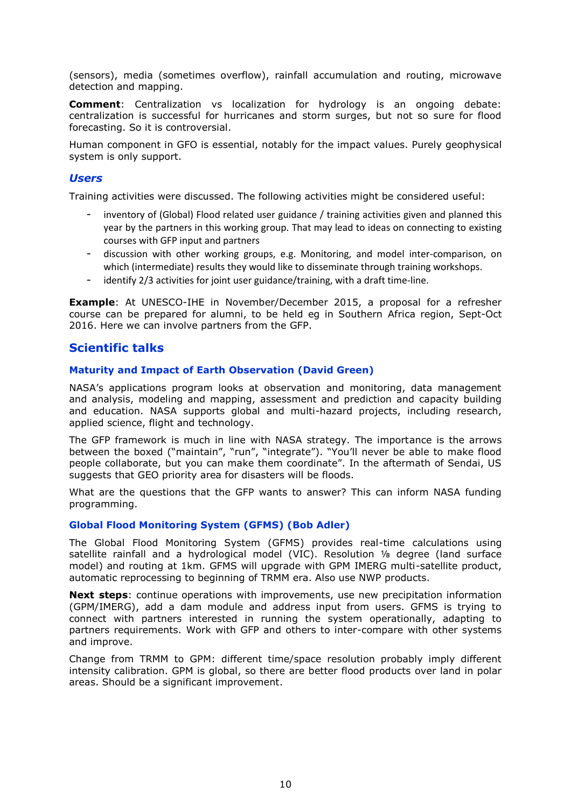(sensors), media (sometimes overflow), rainfall accumulation and routing, microwave detection and mapping.

**Comment**: Centralization vs localization for hydrology is an ongoing debate: centralization is successful for hurricanes and storm surges, but not so sure for flood forecasting. So it is controversial.

Human component in GFO is essential, notably for the impact values. Purely geophysical system is only support.

#### <span id="page-11-0"></span>*Users*

Training activities were discussed. The following activities might be considered useful:

- inventory of (Global) Flood related user guidance / training activities given and planned this year by the partners in this working group. That may lead to ideas on connecting to existing courses with GFP input and partners
- discussion with other working groups, e.g. Monitoring, and model inter-comparison, on which (intermediate) results they would like to disseminate through training workshops.
- identify 2/3 activities for joint user guidance/training, with a draft time-line.

**Example**: At UNESCO-IHE in November/December 2015, a proposal for a refresher course can be prepared for alumni, to be held eg in Southern Africa region, Sept-Oct 2016. Here we can involve partners from the GFP.

#### <span id="page-11-1"></span>**Scientific talks**

#### <span id="page-11-2"></span>**Maturity and Impact of Earth Observation (David Green)**

NASA's applications program looks at observation and monitoring, data management and analysis, modeling and mapping, assessment and prediction and capacity building and education. NASA supports global and multi-hazard projects, including research, applied science, flight and technology.

The GFP framework is much in line with NASA strategy. The importance is the arrows between the boxed ("maintain", "run", "integrate"). "You'll never be able to make flood people collaborate, but you can make them coordinate". In the aftermath of Sendai, US suggests that GEO priority area for disasters will be floods.

What are the questions that the GFP wants to answer? This can inform NASA funding programming.

#### <span id="page-11-3"></span>**Global Flood Monitoring System (GFMS) (Bob Adler)**

The Global Flood Monitoring System (GFMS) provides real-time calculations using satellite rainfall and a hydrological model (VIC). Resolution ⅛ degree (land surface model) and routing at 1km. GFMS will upgrade with GPM IMERG multi-satellite product, automatic reprocessing to beginning of TRMM era. Also use NWP products.

**Next steps**: continue operations with improvements, use new precipitation information (GPM/IMERG), add a dam module and address input from users. GFMS is trying to connect with partners interested in running the system operationally, adapting to partners requirements. Work with GFP and others to inter-compare with other systems and improve.

Change from TRMM to GPM: different time/space resolution probably imply different intensity calibration. GPM is global, so there are better flood products over land in polar areas. Should be a significant improvement.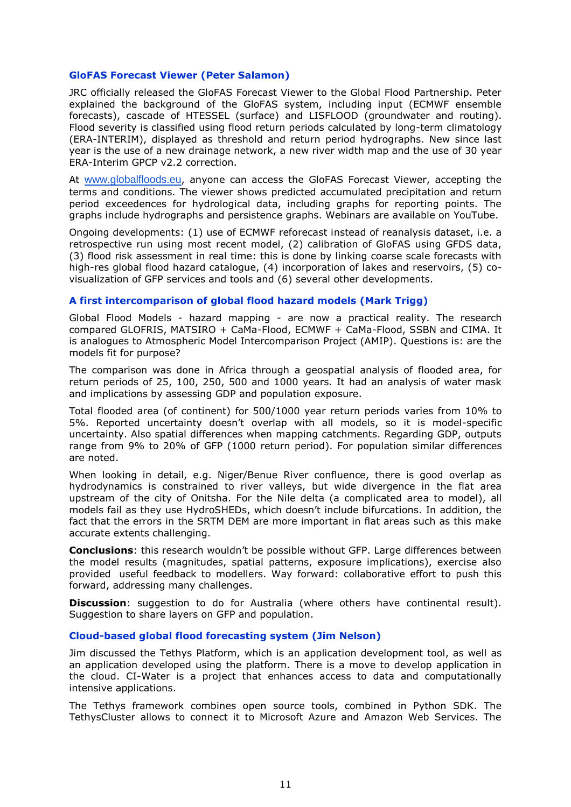#### <span id="page-12-0"></span>**GloFAS Forecast Viewer (Peter Salamon)**

JRC officially released the GloFAS Forecast Viewer to the Global Flood Partnership. Peter explained the background of the GloFAS system, including input (ECMWF ensemble forecasts), cascade of HTESSEL (surface) and LISFLOOD (groundwater and routing). Flood severity is classified using flood return periods calculated by long-term climatology (ERA-INTERIM), displayed as threshold and return period hydrographs. New since last year is the use of a new drainage network, a new river width map and the use of 30 year ERA-Interim GPCP v2.2 correction.

At [www.globalfloods.eu](http://www.globalfloods.eu/), anyone can access the GloFAS Forecast Viewer, accepting the terms and conditions. The viewer shows predicted accumulated precipitation and return period exceedences for hydrological data, including graphs for reporting points. The graphs include hydrographs and persistence graphs. Webinars are available on YouTube.

Ongoing developments: (1) use of ECMWF reforecast instead of reanalysis dataset, i.e. a retrospective run using most recent model, (2) calibration of GloFAS using GFDS data, (3) flood risk assessment in real time: this is done by linking coarse scale forecasts with high-res global flood hazard catalogue, (4) incorporation of lakes and reservoirs, (5) covisualization of GFP services and tools and (6) several other developments.

#### <span id="page-12-1"></span>**A first intercomparison of global flood hazard models (Mark Trigg)**

Global Flood Models - hazard mapping - are now a practical reality. The research compared GLOFRIS, MATSIRO + CaMa-Flood, ECMWF + CaMa-Flood, SSBN and CIMA. It is analogues to Atmospheric Model Intercomparison Project (AMIP). Questions is: are the models fit for purpose?

The comparison was done in Africa through a geospatial analysis of flooded area, for return periods of 25, 100, 250, 500 and 1000 years. It had an analysis of water mask and implications by assessing GDP and population exposure.

Total flooded area (of continent) for 500/1000 year return periods varies from 10% to 5%. Reported uncertainty doesn't overlap with all models, so it is model-specific uncertainty. Also spatial differences when mapping catchments. Regarding GDP, outputs range from 9% to 20% of GFP (1000 return period). For population similar differences are noted.

When looking in detail, e.g. Niger/Benue River confluence, there is good overlap as hydrodynamics is constrained to river valleys, but wide divergence in the flat area upstream of the city of Onitsha. For the Nile delta (a complicated area to model), all models fail as they use HydroSHEDs, which doesn't include bifurcations. In addition, the fact that the errors in the SRTM DEM are more important in flat areas such as this make accurate extents challenging.

**Conclusions**: this research wouldn't be possible without GFP. Large differences between the model results (magnitudes, spatial patterns, exposure implications), exercise also provided useful feedback to modellers. Way forward: collaborative effort to push this forward, addressing many challenges.

**Discussion**: suggestion to do for Australia (where others have continental result). Suggestion to share layers on GFP and population.

#### <span id="page-12-2"></span>**Cloud-based global flood forecasting system (Jim Nelson)**

Jim discussed the Tethys Platform, which is an application development tool, as well as an application developed using the platform. There is a move to develop application in the cloud. CI-Water is a project that enhances access to data and computationally intensive applications.

The Tethys framework combines open source tools, combined in Python SDK. The TethysCluster allows to connect it to Microsoft Azure and Amazon Web Services. The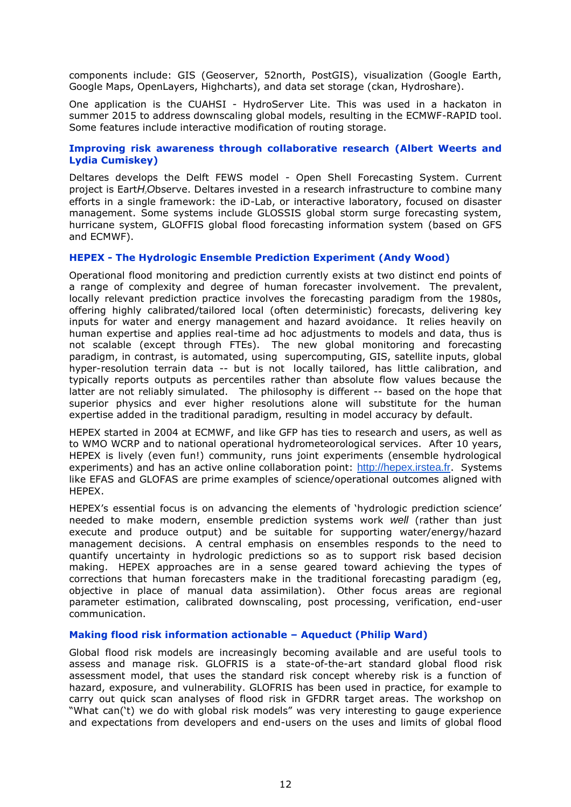components include: GIS (Geoserver, 52north, PostGIS), visualization (Google Earth, Google Maps, OpenLayers, Highcharts), and data set storage (ckan, Hydroshare).

One application is the CUAHSI - HydroServer Lite. This was used in a hackaton in summer 2015 to address downscaling global models, resulting in the ECMWF-RAPID tool. Some features include interactive modification of routing storage.

#### <span id="page-13-0"></span>**Improving risk awareness through collaborative research (Albert Weerts and Lydia Cumiskey)**

Deltares develops the Delft FEWS model - Open Shell Forecasting System. Current project is Eart*H2O*bserve. Deltares invested in a research infrastructure to combine many efforts in a single framework: the iD-Lab, or interactive laboratory, focused on disaster management. Some systems include GLOSSIS global storm surge forecasting system, hurricane system, GLOFFIS global flood forecasting information system (based on GFS and ECMWF).

#### <span id="page-13-1"></span>**HEPEX - The Hydrologic Ensemble Prediction Experiment (Andy Wood)**

Operational flood monitoring and prediction currently exists at two distinct end points of a range of complexity and degree of human forecaster involvement. The prevalent, locally relevant prediction practice involves the forecasting paradigm from the 1980s, offering highly calibrated/tailored local (often deterministic) forecasts, delivering key inputs for water and energy management and hazard avoidance. It relies heavily on human expertise and applies real-time ad hoc adjustments to models and data, thus is not scalable (except through FTEs). The new global monitoring and forecasting paradigm, in contrast, is automated, using supercomputing, GIS, satellite inputs, global hyper-resolution terrain data -- but is not locally tailored, has little calibration, and typically reports outputs as percentiles rather than absolute flow values because the latter are not reliably simulated. The philosophy is different -- based on the hope that superior physics and ever higher resolutions alone will substitute for the human expertise added in the traditional paradigm, resulting in model accuracy by default.

HEPEX started in 2004 at ECMWF, and like GFP has ties to research and users, as well as to WMO WCRP and to national operational hydrometeorological services. After 10 years, HEPEX is lively (even fun!) community, runs joint experiments (ensemble hydrological experiments) and has an active online collaboration point: [http://hepex.irstea.fr](http://hepex.irstea.fr/). Systems like EFAS and GLOFAS are prime examples of science/operational outcomes aligned with HEPEX.

HEPEX's essential focus is on advancing the elements of 'hydrologic prediction science' needed to make modern, ensemble prediction systems work *well* (rather than just execute and produce output) and be suitable for supporting water/energy/hazard management decisions. A central emphasis on ensembles responds to the need to quantify uncertainty in hydrologic predictions so as to support risk based decision making. HEPEX approaches are in a sense geared toward achieving the types of corrections that human forecasters make in the traditional forecasting paradigm (eg, objective in place of manual data assimilation). Other focus areas are regional parameter estimation, calibrated downscaling, post processing, verification, end-user communication.

#### <span id="page-13-2"></span>**Making flood risk information actionable – Aqueduct (Philip Ward)**

Global flood risk models are increasingly becoming available and are useful tools to assess and manage risk. GLOFRIS is a state-of-the-art standard global flood risk assessment model, that uses the standard risk concept whereby risk is a function of hazard, exposure, and vulnerability. GLOFRIS has been used in practice, for example to carry out quick scan analyses of flood risk in GFDRR target areas. The workshop on "What can('t) we do with global risk models" was very interesting to gauge experience and expectations from developers and end-users on the uses and limits of global flood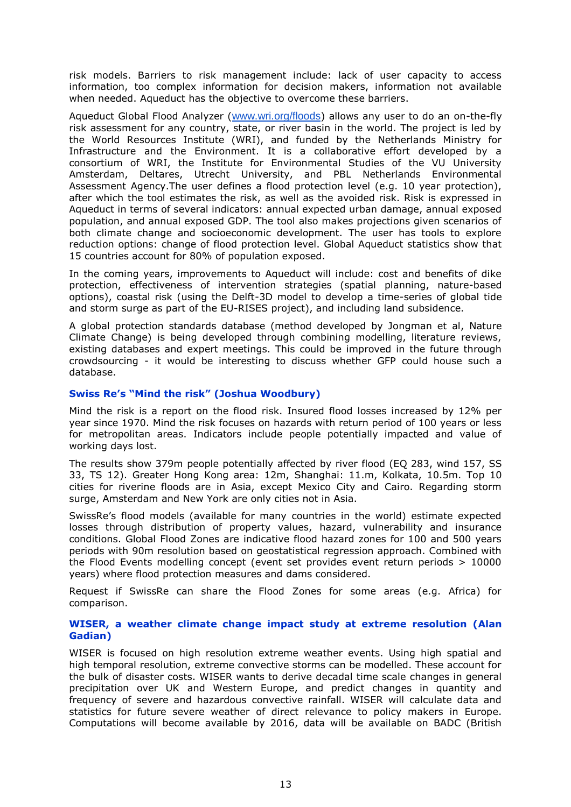risk models. Barriers to risk management include: lack of user capacity to access information, too complex information for decision makers, information not available when needed. Aqueduct has the objective to overcome these barriers.

Aqueduct Global Flood Analyzer ([www.wri.org/floods](http://www.wri.org/floods)) allows any user to do an on-the-fly risk assessment for any country, state, or river basin in the world. The project is led by the World Resources Institute (WRI), and funded by the Netherlands Ministry for Infrastructure and the Environment. It is a collaborative effort developed by a consortium of WRI, the Institute for Environmental Studies of the VU University Amsterdam, Deltares, Utrecht University, and PBL Netherlands Environmental Assessment Agency.The user defines a flood protection level (e.g. 10 year protection), after which the tool estimates the risk, as well as the avoided risk. Risk is expressed in Aqueduct in terms of several indicators: annual expected urban damage, annual exposed population, and annual exposed GDP. The tool also makes projections given scenarios of both climate change and socioeconomic development. The user has tools to explore reduction options: change of flood protection level. Global Aqueduct statistics show that 15 countries account for 80% of population exposed.

In the coming years, improvements to Aqueduct will include: cost and benefits of dike protection, effectiveness of intervention strategies (spatial planning, nature-based options), coastal risk (using the Delft-3D model to develop a time-series of global tide and storm surge as part of the EU-RISES project), and including land subsidence.

A global protection standards database (method developed by Jongman et al, Nature Climate Change) is being developed through combining modelling, literature reviews, existing databases and expert meetings. This could be improved in the future through crowdsourcing - it would be interesting to discuss whether GFP could house such a database.

#### <span id="page-14-0"></span>**Swiss Re's "Mind the risk" (Joshua Woodbury)**

Mind the risk is a report on the flood risk. Insured flood losses increased by 12% per year since 1970. Mind the risk focuses on hazards with return period of 100 years or less for metropolitan areas. Indicators include people potentially impacted and value of working days lost.

The results show 379m people potentially affected by river flood (EQ 283, wind 157, SS 33, TS 12). Greater Hong Kong area: 12m, Shanghai: 11.m, Kolkata, 10.5m. Top 10 cities for riverine floods are in Asia, except Mexico City and Cairo. Regarding storm surge, Amsterdam and New York are only cities not in Asia.

SwissRe's flood models (available for many countries in the world) estimate expected losses through distribution of property values, hazard, vulnerability and insurance conditions. Global Flood Zones are indicative flood hazard zones for 100 and 500 years periods with 90m resolution based on geostatistical regression approach. Combined with the Flood Events modelling concept (event set provides event return periods > 10000 years) where flood protection measures and dams considered.

Request if SwissRe can share the Flood Zones for some areas (e.g. Africa) for comparison.

#### <span id="page-14-1"></span>**WISER, a weather climate change impact study at extreme resolution (Alan Gadian)**

WISER is focused on high resolution extreme weather events. Using high spatial and high temporal resolution, extreme convective storms can be modelled. These account for the bulk of disaster costs. WISER wants to derive decadal time scale changes in general precipitation over UK and Western Europe, and predict changes in quantity and frequency of severe and hazardous convective rainfall. WISER will calculate data and statistics for future severe weather of direct relevance to policy makers in Europe. Computations will become available by 2016, data will be available on BADC (British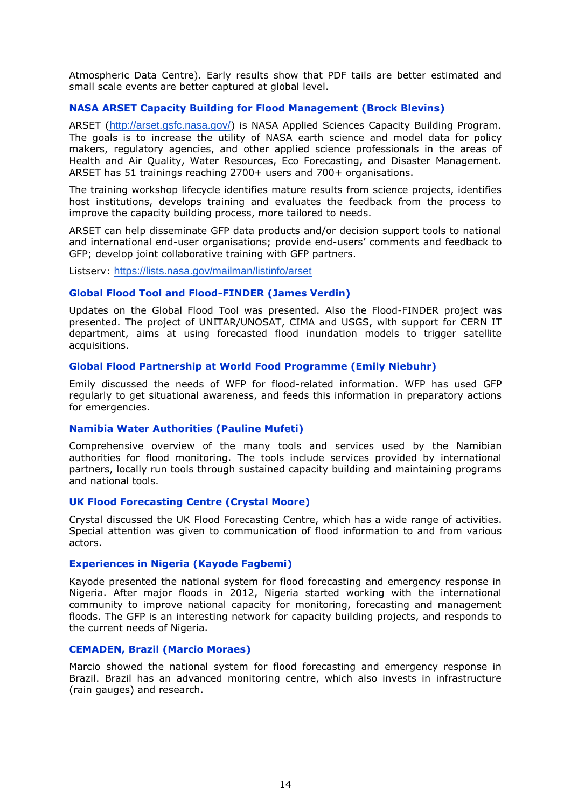Atmospheric Data Centre). Early results show that PDF tails are better estimated and small scale events are better captured at global level.

#### <span id="page-15-0"></span>**NASA ARSET Capacity Building for Flood Management (Brock Blevins)**

ARSET (<http://arset.gsfc.nasa.gov/>) is NASA Applied Sciences Capacity Building Program. The goals is to increase the utility of NASA earth science and model data for policy makers, regulatory agencies, and other applied science professionals in the areas of Health and Air Quality, Water Resources, Eco Forecasting, and Disaster Management. ARSET has 51 trainings reaching 2700+ users and 700+ organisations.

The training workshop lifecycle identifies mature results from science projects, identifies host institutions, develops training and evaluates the feedback from the process to improve the capacity building process, more tailored to needs.

ARSET can help disseminate GFP data products and/or decision support tools to national and international end-user organisations; provide end-users' comments and feedback to GFP; develop joint collaborative training with GFP partners.

Listserv: <https://lists.nasa.gov/mailman/listinfo/arset>

#### <span id="page-15-1"></span>**Global Flood Tool and Flood-FINDER (James Verdin)**

Updates on the Global Flood Tool was presented. Also the Flood-FINDER project was presented. The project of UNITAR/UNOSAT, CIMA and USGS, with support for CERN IT department, aims at using forecasted flood inundation models to trigger satellite acquisitions.

#### <span id="page-15-2"></span>**Global Flood Partnership at World Food Programme (Emily Niebuhr)**

Emily discussed the needs of WFP for flood-related information. WFP has used GFP regularly to get situational awareness, and feeds this information in preparatory actions for emergencies.

#### <span id="page-15-3"></span>**Namibia Water Authorities (Pauline Mufeti)**

Comprehensive overview of the many tools and services used by the Namibian authorities for flood monitoring. The tools include services provided by international partners, locally run tools through sustained capacity building and maintaining programs and national tools.

#### <span id="page-15-4"></span>**UK Flood Forecasting Centre (Crystal Moore)**

Crystal discussed the UK Flood Forecasting Centre, which has a wide range of activities. Special attention was given to communication of flood information to and from various actors.

#### <span id="page-15-5"></span>**Experiences in Nigeria (Kayode Fagbemi)**

Kayode presented the national system for flood forecasting and emergency response in Nigeria. After major floods in 2012, Nigeria started working with the international community to improve national capacity for monitoring, forecasting and management floods. The GFP is an interesting network for capacity building projects, and responds to the current needs of Nigeria.

#### <span id="page-15-6"></span>**CEMADEN, Brazil (Marcio Moraes)**

Marcio showed the national system for flood forecasting and emergency response in Brazil. Brazil has an advanced monitoring centre, which also invests in infrastructure (rain gauges) and research.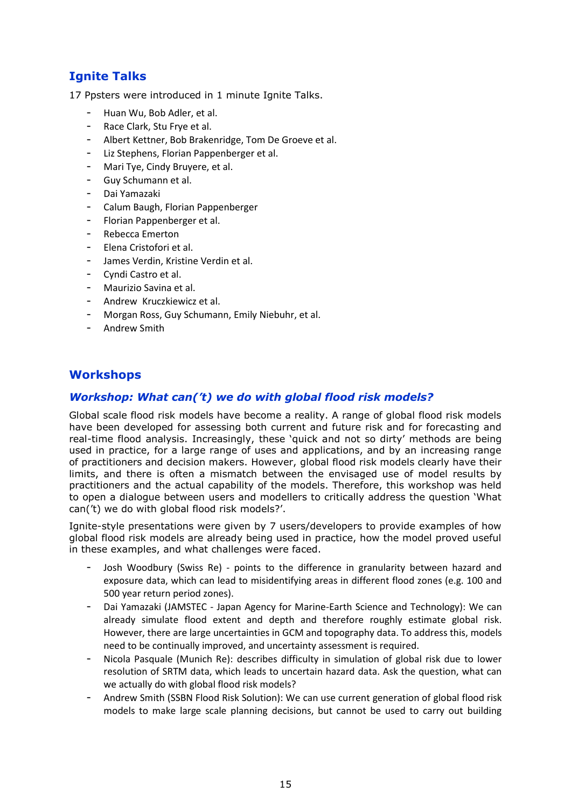# <span id="page-16-0"></span>**Ignite Talks**

17 Ppsters were introduced in 1 minute Ignite Talks.

- Huan Wu, Bob Adler, et al.
- Race Clark, Stu Frye et al.
- Albert Kettner, Bob Brakenridge, Tom De Groeve et al.
- Liz Stephens, Florian Pappenberger et al.
- Mari Tye, Cindy Bruyere, et al.
- Guy Schumann et al.
- Dai Yamazaki
- Calum Baugh, Florian Pappenberger
- Florian Pappenberger et al.
- Rebecca Emerton
- Elena Cristofori et al.
- James Verdin, Kristine Verdin et al.
- Cyndi Castro et al.
- Maurizio Savina et al.
- Andrew Kruczkiewicz et al.
- Morgan Ross, Guy Schumann, Emily Niebuhr, et al.
- Andrew Smith

## <span id="page-16-1"></span>**Workshops**

### <span id="page-16-2"></span>*Workshop: What can('t) we do with global flood risk models?*

Global scale flood risk models have become a reality. A range of global flood risk models have been developed for assessing both current and future risk and for forecasting and real-time flood analysis. Increasingly, these 'quick and not so dirty' methods are being used in practice, for a large range of uses and applications, and by an increasing range of practitioners and decision makers. However, global flood risk models clearly have their limits, and there is often a mismatch between the envisaged use of model results by practitioners and the actual capability of the models. Therefore, this workshop was held to open a dialogue between users and modellers to critically address the question 'What can('t) we do with global flood risk models?'.

Ignite-style presentations were given by 7 users/developers to provide examples of how global flood risk models are already being used in practice, how the model proved useful in these examples, and what challenges were faced.

- Josh Woodbury (Swiss Re) points to the difference in granularity between hazard and exposure data, which can lead to misidentifying areas in different flood zones (e.g. 100 and 500 year return period zones).
- Dai Yamazaki (JAMSTEC Japan Agency for Marine-Earth Science and Technology): We can already simulate flood extent and depth and therefore roughly estimate global risk. However, there are large uncertainties in GCM and topography data. To address this, models need to be continually improved, and uncertainty assessment is required.
- Nicola Pasquale (Munich Re): describes difficulty in simulation of global risk due to lower resolution of SRTM data, which leads to uncertain hazard data. Ask the question, what can we actually do with global flood risk models?
- Andrew Smith (SSBN Flood Risk Solution): We can use current generation of global flood risk models to make large scale planning decisions, but cannot be used to carry out building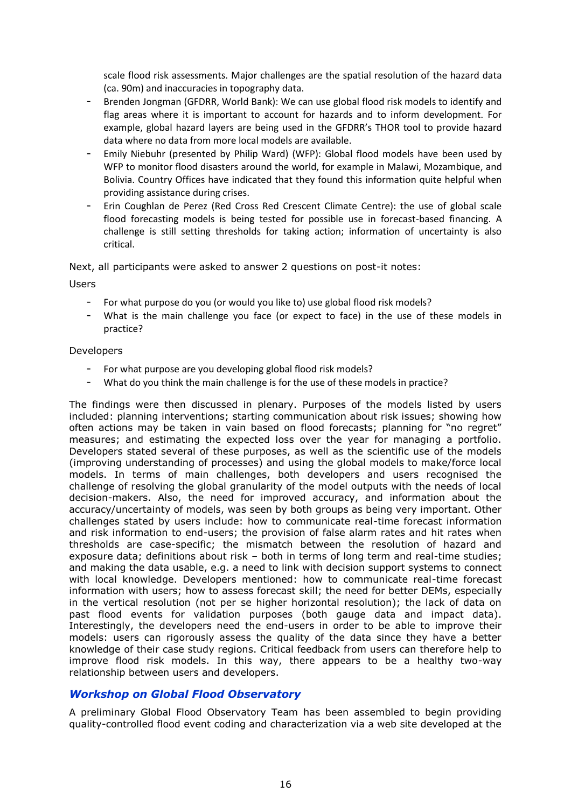scale flood risk assessments. Major challenges are the spatial resolution of the hazard data (ca. 90m) and inaccuracies in topography data.

- Brenden Jongman (GFDRR, World Bank): We can use global flood risk models to identify and flag areas where it is important to account for hazards and to inform development. For example, global hazard layers are being used in the GFDRR's THOR tool to provide hazard data where no data from more local models are available.
- Emily Niebuhr (presented by Philip Ward) (WFP): Global flood models have been used by WFP to monitor flood disasters around the world, for example in Malawi, Mozambique, and Bolivia. Country Offices have indicated that they found this information quite helpful when providing assistance during crises.
- Erin Coughlan de Perez (Red Cross Red Crescent Climate Centre): the use of global scale flood forecasting models is being tested for possible use in forecast-based financing. A challenge is still setting thresholds for taking action; information of uncertainty is also critical.

Next, all participants were asked to answer 2 questions on post-it notes:

Users

- For what purpose do you (or would you like to) use global flood risk models?
- What is the main challenge you face (or expect to face) in the use of these models in practice?

#### Developers

- For what purpose are you developing global flood risk models?
- What do you think the main challenge is for the use of these models in practice?

The findings were then discussed in plenary. Purposes of the models listed by users included: planning interventions; starting communication about risk issues; showing how often actions may be taken in vain based on flood forecasts; planning for "no regret" measures; and estimating the expected loss over the year for managing a portfolio. Developers stated several of these purposes, as well as the scientific use of the models (improving understanding of processes) and using the global models to make/force local models. In terms of main challenges, both developers and users recognised the challenge of resolving the global granularity of the model outputs with the needs of local decision-makers. Also, the need for improved accuracy, and information about the accuracy/uncertainty of models, was seen by both groups as being very important. Other challenges stated by users include: how to communicate real-time forecast information and risk information to end-users; the provision of false alarm rates and hit rates when thresholds are case-specific; the mismatch between the resolution of hazard and exposure data; definitions about risk – both in terms of long term and real-time studies; and making the data usable, e.g. a need to link with decision support systems to connect with local knowledge. Developers mentioned: how to communicate real-time forecast information with users; how to assess forecast skill; the need for better DEMs, especially in the vertical resolution (not per se higher horizontal resolution); the lack of data on past flood events for validation purposes (both gauge data and impact data). Interestingly, the developers need the end-users in order to be able to improve their models: users can rigorously assess the quality of the data since they have a better knowledge of their case study regions. Critical feedback from users can therefore help to improve flood risk models. In this way, there appears to be a healthy two-way relationship between users and developers.

#### <span id="page-17-0"></span>*Workshop on Global Flood Observatory*

A preliminary Global Flood Observatory Team has been assembled to begin providing quality-controlled flood event coding and characterization via a web site developed at the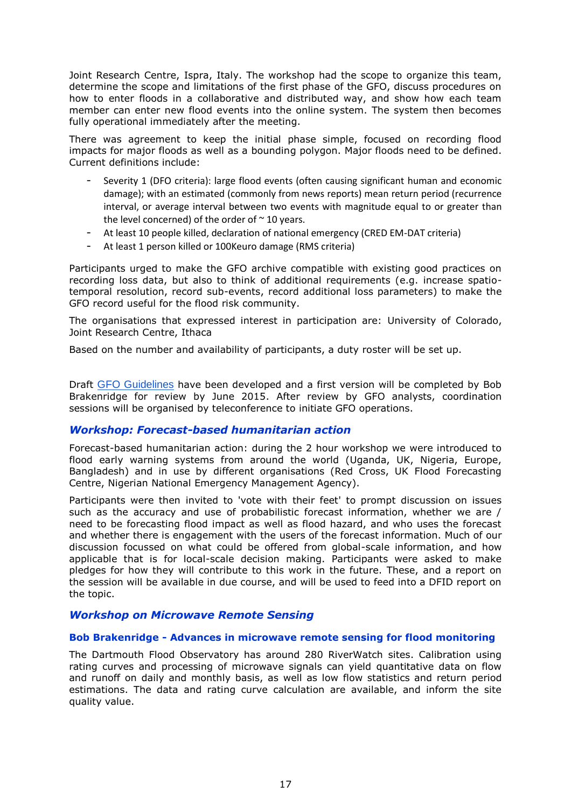Joint Research Centre, Ispra, Italy. The workshop had the scope to organize this team, determine the scope and limitations of the first phase of the GFO, discuss procedures on how to enter floods in a collaborative and distributed way, and show how each team member can enter new flood events into the online system. The system then becomes fully operational immediately after the meeting.

There was agreement to keep the initial phase simple, focused on recording flood impacts for major floods as well as a bounding polygon. Major floods need to be defined. Current definitions include:

- Severity 1 (DFO criteria): large flood events (often causing significant human and economic damage); with an estimated (commonly from news reports) mean return period (recurrence interval, or average interval between two events with magnitude equal to or greater than the level concerned) of the order of  $\sim$  10 years.
- At least 10 people killed, declaration of national emergency (CRED EM-DAT criteria)
- At least 1 person killed or 100Keuro damage (RMS criteria)

Participants urged to make the GFO archive compatible with existing good practices on recording loss data, but also to think of additional requirements (e.g. increase spatiotemporal resolution, record sub-events, record additional loss parameters) to make the GFO record useful for the flood risk community.

The organisations that expressed interest in participation are: University of Colorado, Joint Research Centre, Ithaca

Based on the number and availability of participants, a duty roster will be set up.

Draft [GFO Guidelines](https://docs.google.com/document/d/1GXTiJVuuCilEu2W_pfsCuUrKdxShga7RNo8rVi6sgfs/edit?usp=sharing) have been developed and a first version will be completed by Bob Brakenridge for review by June 2015. After review by GFO analysts, coordination sessions will be organised by teleconference to initiate GFO operations.

#### <span id="page-18-0"></span>*Workshop: Forecast-based humanitarian action*

Forecast-based humanitarian action: during the 2 hour workshop we were introduced to flood early warning systems from around the world (Uganda, UK, Nigeria, Europe, Bangladesh) and in use by different organisations (Red Cross, UK Flood Forecasting Centre, Nigerian National Emergency Management Agency).

Participants were then invited to 'vote with their feet' to prompt discussion on issues such as the accuracy and use of probabilistic forecast information, whether we are / need to be forecasting flood impact as well as flood hazard, and who uses the forecast and whether there is engagement with the users of the forecast information. Much of our discussion focussed on what could be offered from global-scale information, and how applicable that is for local-scale decision making. Participants were asked to make pledges for how they will contribute to this work in the future. These, and a report on the session will be available in due course, and will be used to feed into a DFID report on the topic.

#### <span id="page-18-1"></span>*Workshop on Microwave Remote Sensing*

#### <span id="page-18-2"></span>**Bob Brakenridge - Advances in microwave remote sensing for flood monitoring**

The Dartmouth Flood Observatory has around 280 RiverWatch sites. Calibration using rating curves and processing of microwave signals can yield quantitative data on flow and runoff on daily and monthly basis, as well as low flow statistics and return period estimations. The data and rating curve calculation are available, and inform the site quality value.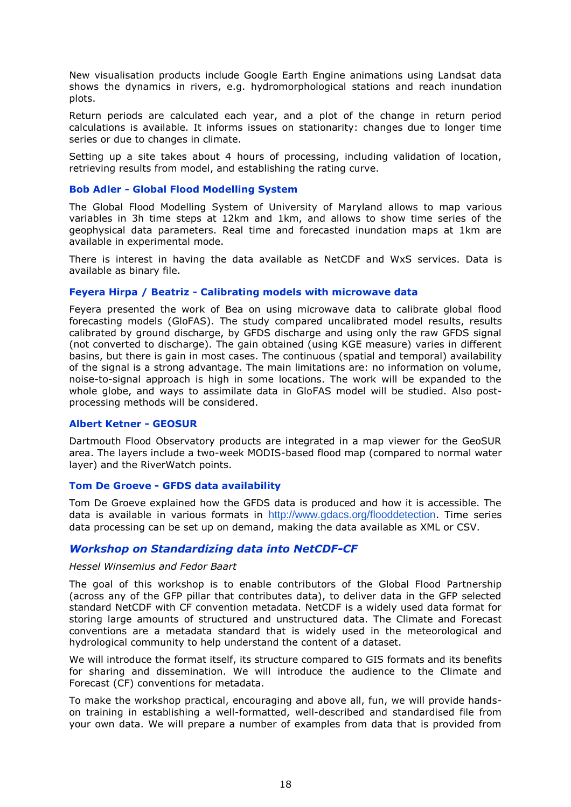New visualisation products include Google Earth Engine animations using Landsat data shows the dynamics in rivers, e.g. hydromorphological stations and reach inundation plots.

Return periods are calculated each year, and a plot of the change in return period calculations is available. It informs issues on stationarity: changes due to longer time series or due to changes in climate.

Setting up a site takes about 4 hours of processing, including validation of location, retrieving results from model, and establishing the rating curve.

#### <span id="page-19-0"></span>**Bob Adler - Global Flood Modelling System**

The Global Flood Modelling System of University of Maryland allows to map various variables in 3h time steps at 12km and 1km, and allows to show time series of the geophysical data parameters. Real time and forecasted inundation maps at 1km are available in experimental mode.

There is interest in having the data available as NetCDF and WxS services. Data is available as binary file.

#### <span id="page-19-1"></span>**Feyera Hirpa / Beatriz - Calibrating models with microwave data**

Feyera presented the work of Bea on using microwave data to calibrate global flood forecasting models (GloFAS). The study compared uncalibrated model results, results calibrated by ground discharge, by GFDS discharge and using only the raw GFDS signal (not converted to discharge). The gain obtained (using KGE measure) varies in different basins, but there is gain in most cases. The continuous (spatial and temporal) availability of the signal is a strong advantage. The main limitations are: no information on volume, noise-to-signal approach is high in some locations. The work will be expanded to the whole globe, and ways to assimilate data in GloFAS model will be studied. Also postprocessing methods will be considered.

#### <span id="page-19-2"></span>**Albert Ketner - GEOSUR**

Dartmouth Flood Observatory products are integrated in a map viewer for the GeoSUR area. The layers include a two-week MODIS-based flood map (compared to normal water layer) and the RiverWatch points.

#### <span id="page-19-3"></span>**Tom De Groeve - GFDS data availability**

Tom De Groeve explained how the GFDS data is produced and how it is accessible. The data is available in various formats in <http://www.gdacs.org/flooddetection>. Time series data processing can be set up on demand, making the data available as XML or CSV.

#### <span id="page-19-4"></span>*Workshop on Standardizing data into NetCDF-CF*

#### *Hessel Winsemius and Fedor Baart*

The goal of this workshop is to enable contributors of the Global Flood Partnership (across any of the GFP pillar that contributes data), to deliver data in the GFP selected standard NetCDF with CF convention metadata. NetCDF is a widely used data format for storing large amounts of structured and unstructured data. The Climate and Forecast conventions are a metadata standard that is widely used in the meteorological and hydrological community to help understand the content of a dataset.

We will introduce the format itself, its structure compared to GIS formats and its benefits for sharing and dissemination. We will introduce the audience to the Climate and Forecast (CF) conventions for metadata.

To make the workshop practical, encouraging and above all, fun, we will provide handson training in establishing a well-formatted, well-described and standardised file from your own data. We will prepare a number of examples from data that is provided from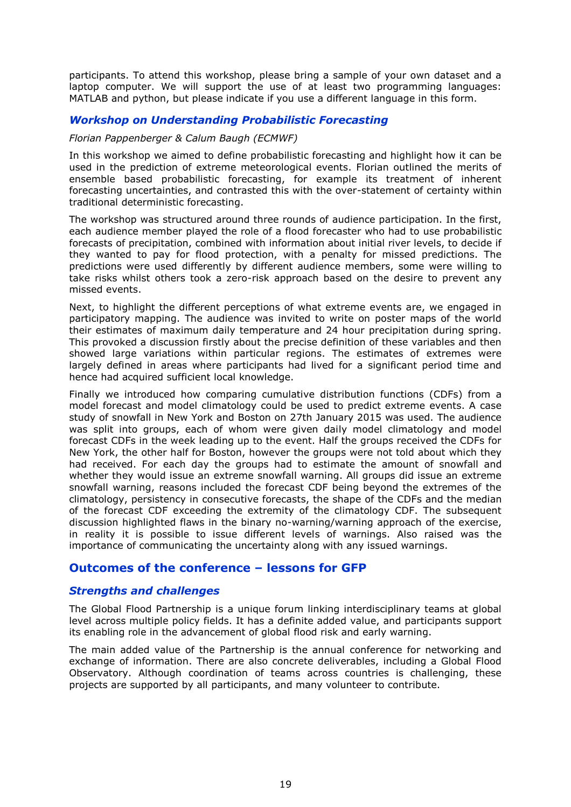participants. To attend this workshop, please bring a sample of your own dataset and a laptop computer. We will support the use of at least two programming languages: MATLAB and python, but please indicate if you use a different language in this form.

### <span id="page-20-0"></span>*Workshop on Understanding Probabilistic Forecasting*

#### *Florian Pappenberger & Calum Baugh (ECMWF)*

In this workshop we aimed to define probabilistic forecasting and highlight how it can be used in the prediction of extreme meteorological events. Florian outlined the merits of ensemble based probabilistic forecasting, for example its treatment of inherent forecasting uncertainties, and contrasted this with the over-statement of certainty within traditional deterministic forecasting.

The workshop was structured around three rounds of audience participation. In the first, each audience member played the role of a flood forecaster who had to use probabilistic forecasts of precipitation, combined with information about initial river levels, to decide if they wanted to pay for flood protection, with a penalty for missed predictions. The predictions were used differently by different audience members, some were willing to take risks whilst others took a zero-risk approach based on the desire to prevent any missed events.

Next, to highlight the different perceptions of what extreme events are, we engaged in participatory mapping. The audience was invited to write on poster maps of the world their estimates of maximum daily temperature and 24 hour precipitation during spring. This provoked a discussion firstly about the precise definition of these variables and then showed large variations within particular regions. The estimates of extremes were largely defined in areas where participants had lived for a significant period time and hence had acquired sufficient local knowledge.

Finally we introduced how comparing cumulative distribution functions (CDFs) from a model forecast and model climatology could be used to predict extreme events. A case study of snowfall in New York and Boston on 27th January 2015 was used. The audience was split into groups, each of whom were given daily model climatology and model forecast CDFs in the week leading up to the event. Half the groups received the CDFs for New York, the other half for Boston, however the groups were not told about which they had received. For each day the groups had to estimate the amount of snowfall and whether they would issue an extreme snowfall warning. All groups did issue an extreme snowfall warning, reasons included the forecast CDF being beyond the extremes of the climatology, persistency in consecutive forecasts, the shape of the CDFs and the median of the forecast CDF exceeding the extremity of the climatology CDF. The subsequent discussion highlighted flaws in the binary no-warning/warning approach of the exercise, in reality it is possible to issue different levels of warnings. Also raised was the importance of communicating the uncertainty along with any issued warnings.

## <span id="page-20-1"></span>**Outcomes of the conference – lessons for GFP**

#### <span id="page-20-2"></span>*Strengths and challenges*

The Global Flood Partnership is a unique forum linking interdisciplinary teams at global level across multiple policy fields. It has a definite added value, and participants support its enabling role in the advancement of global flood risk and early warning.

The main added value of the Partnership is the annual conference for networking and exchange of information. There are also concrete deliverables, including a Global Flood Observatory. Although coordination of teams across countries is challenging, these projects are supported by all participants, and many volunteer to contribute.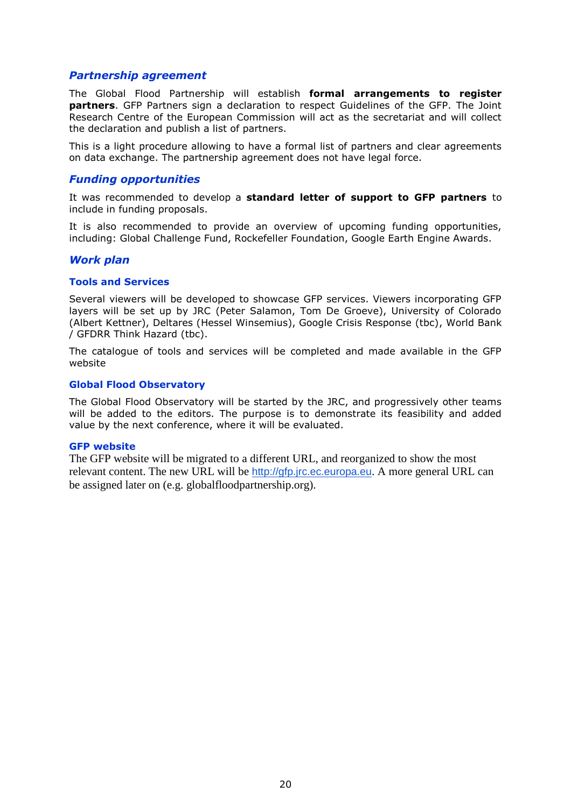#### <span id="page-21-0"></span>*Partnership agreement*

The Global Flood Partnership will establish **formal arrangements to register partners**. GFP Partners sign a declaration to respect Guidelines of the GFP. The Joint Research Centre of the European Commission will act as the secretariat and will collect the declaration and publish a list of partners.

This is a light procedure allowing to have a formal list of partners and clear agreements on data exchange. The partnership agreement does not have legal force.

#### <span id="page-21-1"></span>*Funding opportunities*

It was recommended to develop a **standard letter of support to GFP partners** to include in funding proposals.

It is also recommended to provide an overview of upcoming funding opportunities, including: Global Challenge Fund, Rockefeller Foundation, Google Earth Engine Awards.

#### <span id="page-21-2"></span>*Work plan*

#### <span id="page-21-3"></span>**Tools and Services**

Several viewers will be developed to showcase GFP services. Viewers incorporating GFP layers will be set up by JRC (Peter Salamon, Tom De Groeve), University of Colorado (Albert Kettner), Deltares (Hessel Winsemius), Google Crisis Response (tbc), World Bank / GFDRR Think Hazard (tbc).

The catalogue of tools and services will be completed and made available in the GFP website

#### <span id="page-21-4"></span>**Global Flood Observatory**

The Global Flood Observatory will be started by the JRC, and progressively other teams will be added to the editors. The purpose is to demonstrate its feasibility and added value by the next conference, where it will be evaluated.

#### <span id="page-21-5"></span>**GFP website**

The GFP website will be migrated to a different URL, and reorganized to show the most relevant content. The new URL will be [http://gfp.jrc.ec.europa.eu](http://gfp.jrc.ec.europa.eu/). A more general URL can be assigned later on (e.g. globalfloodpartnership.org).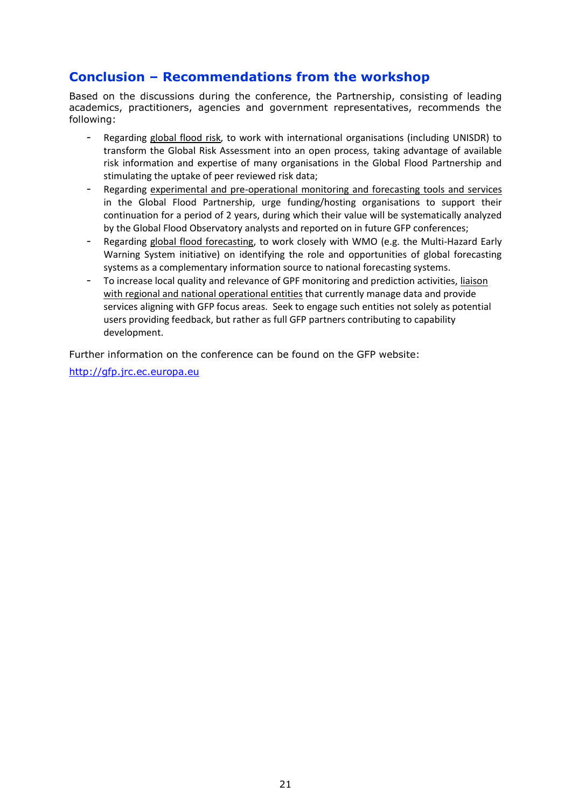# <span id="page-22-0"></span>**Conclusion – Recommendations from the workshop**

Based on the discussions during the conference, the Partnership, consisting of leading academics, practitioners, agencies and government representatives, recommends the following:

- Regarding global flood risk, to work with international organisations (including UNISDR) to transform the Global Risk Assessment into an open process, taking advantage of available risk information and expertise of many organisations in the Global Flood Partnership and stimulating the uptake of peer reviewed risk data;
- Regarding experimental and pre-operational monitoring and forecasting tools and services in the Global Flood Partnership, urge funding/hosting organisations to support their continuation for a period of 2 years, during which their value will be systematically analyzed by the Global Flood Observatory analysts and reported on in future GFP conferences;
- Regarding global flood forecasting, to work closely with WMO (e.g. the Multi-Hazard Early Warning System initiative) on identifying the role and opportunities of global forecasting systems as a complementary information source to national forecasting systems.
- To increase local quality and relevance of GPF monitoring and prediction activities, liaison with regional and national operational entities that currently manage data and provide services aligning with GFP focus areas. Seek to engage such entities not solely as potential users providing feedback, but rather as full GFP partners contributing to capability development.

Further information on the conference can be found on the GFP website:

[http://gfp.jrc.ec.europa.eu](http://gfp.jrc.ec.europa.eu/)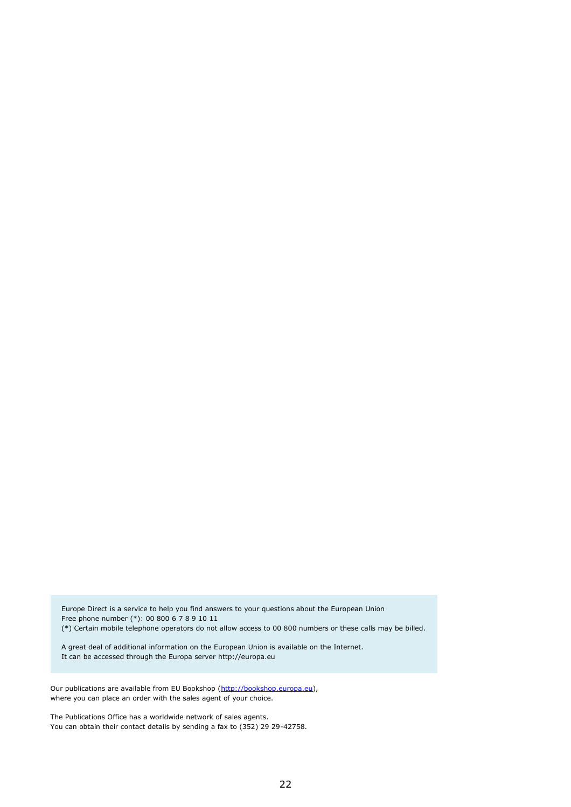Europe Direct is a service to help you find answers to your questions about the European Union Free phone number (\*): 00 800 6 7 8 9 10 11 (\*) Certain mobile telephone operators do not allow access to 00 800 numbers or these calls may be billed.

A great deal of additional information on the European Union is available on the Internet. It can be accessed through the Europa server http://europa.eu

Our publications are available from EU Bookshop [\(http://bookshop.europa.eu\)](http://bookshop.europa.eu/), where you can place an order with the sales agent of your choice.

The Publications Office has a worldwide network of sales agents. You can obtain their contact details by sending a fax to (352) 29 29-42758.